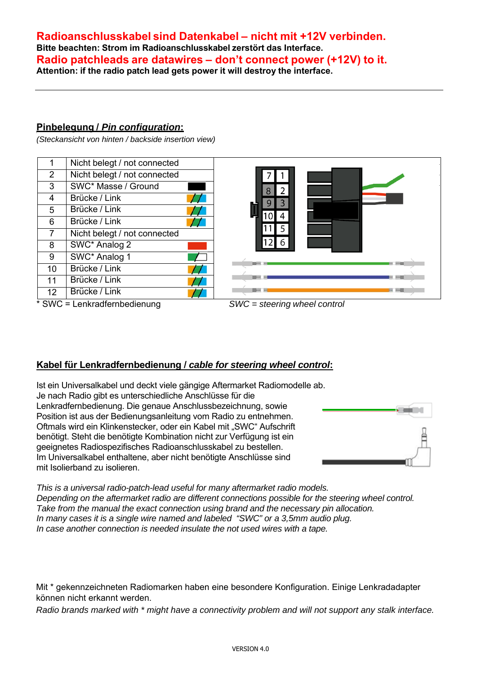## **Radioanschlusskabel sind Datenkabel – nicht mit +12V verbinden. Bitte beachten: Strom im Radioanschlusskabel zerstört das Interface. Radio patchleads are datawires – don't connect power (+12V) to it. Attention: if the radio patch lead gets power it will destroy the interface.**

### **Pinbelegung /** *Pin configuration***:**

*(Steckansicht von hinten / backside insertion view)* 

|                | Nicht belegt / not connected |  |
|----------------|------------------------------|--|
| 2              | Nicht belegt / not connected |  |
| 3              | SWC* Masse / Ground          |  |
| $\overline{4}$ | Brücke / Link                |  |
| 5              | Brücke / Link                |  |
| 6              | Brücke / Link                |  |
|                | Nicht belegt / not connected |  |
| 8              | SWC* Analog 2                |  |
| 9              | SWC* Analog 1                |  |
| 10             | Brücke / Link                |  |
| 11             | Brücke / Link                |  |
| 12             | Brücke / Link                |  |
|                |                              |  |



\* SWC = Lenkradfernbedienung *SWC = steering wheel control*



# **Kabel für Lenkradfernbedienung /** *cable for steering wheel control***:**

Ist ein Universalkabel und deckt viele gängige Aftermarket Radiomodelle ab. Je nach Radio gibt es unterschiedliche Anschlüsse für die Lenkradfernbedienung. Die genaue Anschlussbezeichnung, sowie Position ist aus der Bedienungsanleitung vom Radio zu entnehmen. Oftmals wird ein Klinkenstecker, oder ein Kabel mit "SWC" Aufschrift benötigt. Steht die benötigte Kombination nicht zur Verfügung ist ein geeignetes Radiospezifisches Radioanschlusskabel zu bestellen. Im Universalkabel enthaltene, aber nicht benötigte Anschlüsse sind mit Isolierband zu isolieren.



*This is a universal radio-patch-lead useful for many aftermarket radio models. Depending on the aftermarket radio are different connections possible for the steering wheel control. Take from the manual the exact connection using brand and the necessary pin allocation. In many cases it is a single wire named and labeled "SWC" or a 3,5mm audio plug. In case another connection is needed insulate the not used wires with a tape.* 

Mit \* gekennzeichneten Radiomarken haben eine besondere Konfiguration. Einige Lenkradadapter können nicht erkannt werden.

*Radio brands marked with \* might have a connectivity problem and will not support any stalk interface.*